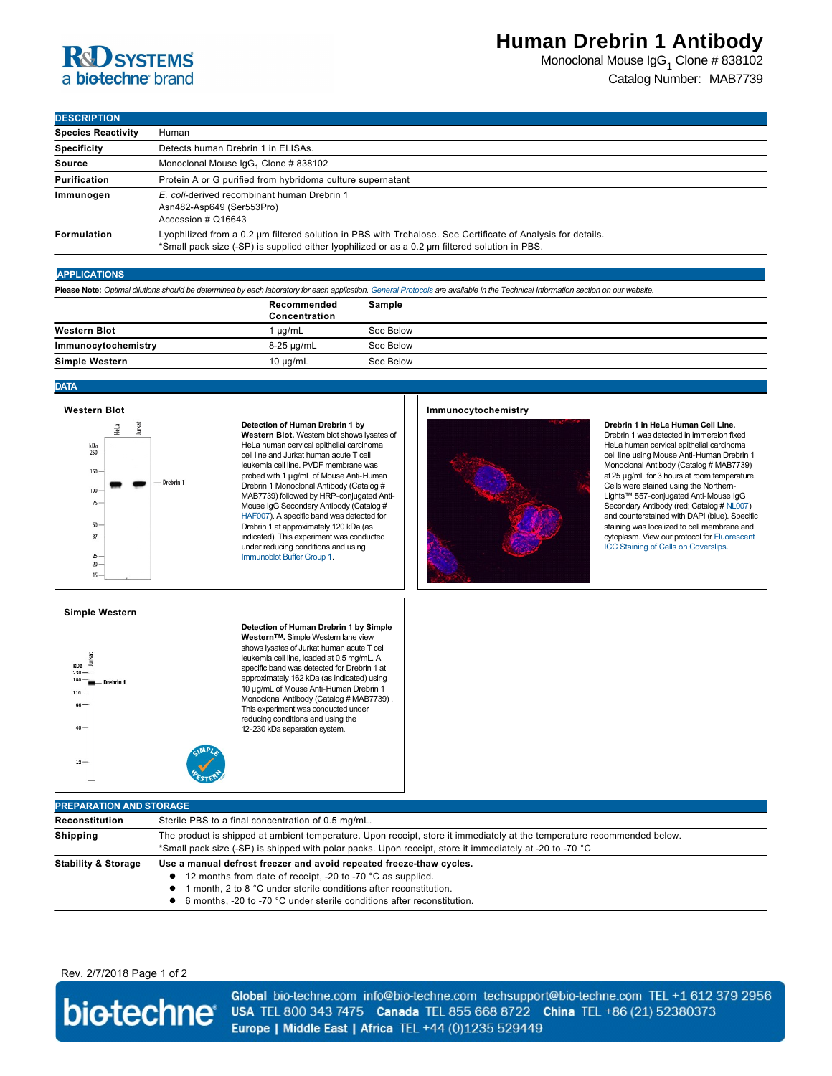# **RdD** SYSTEMS a biotechne brand

Monoclonal Mouse IgG<sub>1</sub> Clone # 838102 Catalog Number: MAB7739

## **DESCRIPTION**

| ושו ומשכת                 |                                                                                                                                                                                                               |
|---------------------------|---------------------------------------------------------------------------------------------------------------------------------------------------------------------------------------------------------------|
| <b>Species Reactivity</b> | Human                                                                                                                                                                                                         |
| <b>Specificity</b>        | Detects human Drebrin 1 in ELISAs.                                                                                                                                                                            |
| Source                    | Monoclonal Mouse IgG <sub>1</sub> Clone # 838102                                                                                                                                                              |
| <b>Purification</b>       | Protein A or G purified from hybridoma culture supernatant                                                                                                                                                    |
| Immunogen                 | E. coli-derived recombinant human Drebrin 1<br>Asn482-Asp649 (Ser553Pro)<br>Accession # Q16643                                                                                                                |
| Formulation               | Lyophilized from a 0.2 µm filtered solution in PBS with Trehalose. See Certificate of Analysis for details.<br>*Small pack size (-SP) is supplied either lyophilized or as a 0.2 µm filtered solution in PBS. |

### **APPLICATIONS**

**Please Note:** *Optimal dilutions should be determined by each laboratory for each application. [General Protocols](http://www.rndsystems.com/resources/protocols-troubleshooting-guides) are available in the Technical Information section on our website.*

|                     | Recommended<br>Concentration | Sample    |
|---------------------|------------------------------|-----------|
| <b>Western Blot</b> | uq/mL                        | See Below |
| Immunocytochemistry | 8-25 µg/mL                   | See Below |
| Simple Western      | $10 \mu q/mL$                | See Below |

#### **DATA**

## **Western Blot** kDa<br>250 150 - Drebrin 1  $100 75$ 50  $37$  $25$  $20 15<sup>°</sup>$

**Detection of Human Drebrin 1 by Western Blot.** Western blot shows lysates of HeLa human cervical epithelial carcinoma cell line and Jurkat human acute T cell leukemia cell line. PVDF membrane was probed with 1 µg/mL of Mouse Anti-Human Drebrin 1 Monoclonal Antibody (Catalog # MAB7739) followed by HRP-conjugated Anti-[Mouse Ig](http://www.rndsystems.com/search?keywords=HAF007)G Secondary Antibody (Catalog # HAF007). A specific band was detected for Drebrin 1 at approximately 120 kDa (as indicated). This experiment was conducted [under reducing conditions](http://www.rndsystems.com/resources/technical/western-blot-conditions) and using Immunoblot Buffer Group 1.

### **Immunocytochemistry**



**Drebrin 1 in HeLa Human Cell Line.** Drebrin 1 was detected in immersion fixed HeLa human cervical epithelial carcinoma cell line using Mouse Anti-Human Drebrin 1 Monoclonal Antibody (Catalog # MAB7739) at 25 µg/mL for 3 hours at room temperature. Cells were stained using the Northern-Lights™ 557-conjugated Anti-Mouse IgG Secondary Antibody (red; Catalog # [NL007](http://www.rndsystems.com/search?keywords=NL007)) and counterstained with DAPI (blue). Specific staining was localized to cell membrane and [cytoplasm. View our protocol for Fluorescent](http://www.rndsystems.com/resources/protocols/protocol-preparation-and-fluorescent-icc-staining-cells-coverslips)  ICC Staining of Cells on Coverslips.

## **Simple Western**

| kDa<br>$230 -$<br>$180 -$<br>Drebrin 1<br>$116 -$<br>$66 -$<br>$40 -$ | Detection of Human Drebrin 1 by Simple<br>Western™. Simple Western lane view<br>shows lysates of Jurkat human acute T cell<br>leukemia cell line, loaded at 0.5 mg/mL. A<br>specific band was detected for Drebrin 1 at<br>approximately 162 kDa (as indicated) using<br>10 µg/mL of Mouse Anti-Human Drebrin 1<br>Monoclonal Antibody (Catalog # MAB7739).<br>This experiment was conducted under<br>reducing conditions and using the<br>12-230 kDa separation system. |
|-----------------------------------------------------------------------|--------------------------------------------------------------------------------------------------------------------------------------------------------------------------------------------------------------------------------------------------------------------------------------------------------------------------------------------------------------------------------------------------------------------------------------------------------------------------|
| $12 -$                                                                |                                                                                                                                                                                                                                                                                                                                                                                                                                                                          |

| <b>PREPARATION AND STORAGE</b> |                                                                                                                                                                                                                                                                                    |  |  |
|--------------------------------|------------------------------------------------------------------------------------------------------------------------------------------------------------------------------------------------------------------------------------------------------------------------------------|--|--|
| Reconstitution                 | Sterile PBS to a final concentration of 0.5 mg/mL.                                                                                                                                                                                                                                 |  |  |
| <b>Shipping</b>                | The product is shipped at ambient temperature. Upon receipt, store it immediately at the temperature recommended below.<br>*Small pack size (-SP) is shipped with polar packs. Upon receipt, store it immediately at -20 to -70 °C                                                 |  |  |
| <b>Stability &amp; Storage</b> | Use a manual defrost freezer and avoid repeated freeze-thaw cycles.<br>• 12 months from date of receipt, -20 to -70 °C as supplied.<br>I month, 2 to 8 °C under sterile conditions after reconstitution.<br>6 months, -20 to -70 °C under sterile conditions after reconstitution. |  |  |

Rev. 2/7/2018 Page 1 of 2



Global bio-techne.com info@bio-techne.com techsupport@bio-techne.com TEL +1 612 379 2956 USA TEL 800 343 7475 Canada TEL 855 668 8722 China TEL +86 (21) 52380373 Europe | Middle East | Africa TEL +44 (0)1235 529449